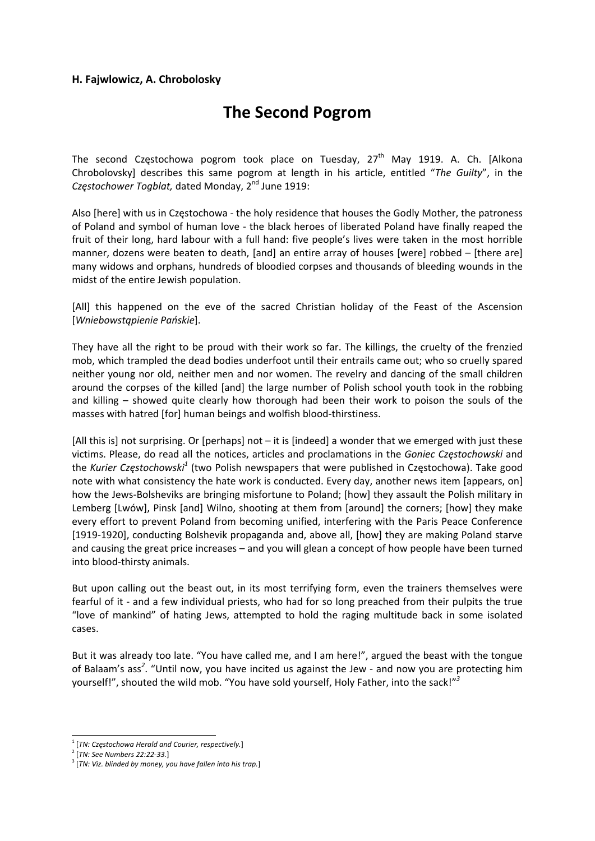#### **H. Fajwlowicz, A. Chrobolosky**

# **The Second Pogrom**

The second Częstochowa pogrom took place on Tuesday,  $27<sup>th</sup>$  May 1919. A. Ch. [Alkona Chrobolovsky] describes this same pogrom at length in his article, entitled "*The Guilty*", in the *Częstochower Togblat,* dated Monday, 2nd June 1919:

Also [here] with us in Częstochowa ‐ the holy residence that houses the Godly Mother, the patroness of Poland and symbol of human love ‐ the black heroes of liberated Poland have finally reaped the fruit of their long, hard labour with a full hand: five people's lives were taken in the most horrible manner, dozens were beaten to death, [and] an entire array of houses [were] robbed – [there are] many widows and orphans, hundreds of bloodied corpses and thousands of bleeding wounds in the midst of the entire Jewish population.

[All] this happened on the eve of the sacred Christian holiday of the Feast of the Ascension [*Wniebowstąpienie Pańskie*].

They have all the right to be proud with their work so far. The killings, the cruelty of the frenzied mob, which trampled the dead bodies underfoot until their entrails came out; who so cruelly spared neither young nor old, neither men and nor women. The revelry and dancing of the small children around the corpses of the killed [and] the large number of Polish school youth took in the robbing and killing – showed quite clearly how thorough had been their work to poison the souls of the masses with hatred [for] human beings and wolfish blood‐thirstiness.

[All this is] not surprising. Or [perhaps] not – it is [indeed] a wonder that we emerged with just these victims. Please, do read all the notices, articles and proclamations in the *Goniec Częstochowski* and the *Kurier Częstochowski<sup>1</sup>* (two Polish newspapers that were published in Częstochowa). Take good note with what consistency the hate work is conducted. Every day, another news item [appears, on] how the Jews-Bolsheviks are bringing misfortune to Poland; [how] they assault the Polish military in Lemberg [Lwów], Pinsk [and] Wilno, shooting at them from [around] the corners; [how] they make every effort to prevent Poland from becoming unified, interfering with the Paris Peace Conference [1919‐1920], conducting Bolshevik propaganda and, above all, [how] they are making Poland starve and causing the great price increases – and you will glean a concept of how people have been turned into blood‐thirsty animals.

But upon calling out the beast out, in its most terrifying form, even the trainers themselves were fearful of it ‐ and a few individual priests, who had for so long preached from their pulpits the true "love of mankind" of hating Jews, attempted to hold the raging multitude back in some isolated cases.

But it was already too late. "You have called me, and I am here!", argued the beast with the tongue of Balaam's ass<sup>2</sup>. "Until now, you have incited us against the Jew - and now you are protecting him yourself!", shouted the wild mob. "You have sold yourself, Holy Father, into the sack!"*<sup>3</sup>*

 <sup>1</sup> [*TN: Częstochowa Herald and Courier, respectively.*]

<sup>2</sup> [*TN: See Numbers 22:22‐33.*]

<sup>3</sup> [*TN: Viz. blinded by money, you have fallen into his trap.*]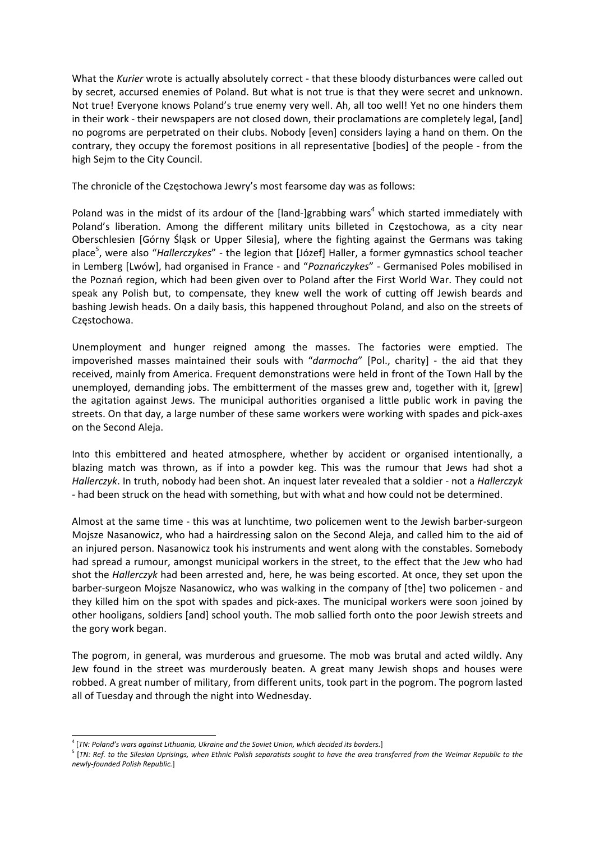What the *Kurier* wrote is actually absolutely correct ‐ that these bloody disturbances were called out by secret, accursed enemies of Poland. But what is not true is that they were secret and unknown. Not true! Everyone knows Poland's true enemy very well. Ah, all too well! Yet no one hinders them in their work - their newspapers are not closed down, their proclamations are completely legal, [and] no pogroms are perpetrated on their clubs. Nobody [even] considers laying a hand on them. On the contrary, they occupy the foremost positions in all representative [bodies] of the people ‐ from the high Sejm to the City Council.

The chronicle of the Częstochowa Jewry's most fearsome day was as follows:

Poland was in the midst of its ardour of the [land‐]grabbing wars*<sup>4</sup>* which started immediately with Poland's liberation. Among the different military units billeted in Częstochowa, as a city near Oberschlesien [Górny Śląsk or Upper Silesia], where the fighting against the Germans was taking place*<sup>5</sup>* , were also "*Hallerczykes*" ‐ the legion that [Józef] Haller, a former gymnastics school teacher in Lemberg [Lwów], had organised in France ‐ and "*Poznańczykes*" ‐ Germanised Poles mobilised in the Poznań region, which had been given over to Poland after the First World War. They could not speak any Polish but, to compensate, they knew well the work of cutting off Jewish beards and bashing Jewish heads. On a daily basis, this happened throughout Poland, and also on the streets of Częstochowa.

Unemployment and hunger reigned among the masses. The factories were emptied. The impoverished masses maintained their souls with "darmocha" [Pol., charity] - the aid that they received, mainly from America. Frequent demonstrations were held in front of the Town Hall by the unemployed, demanding jobs. The embitterment of the masses grew and, together with it, [grew] the agitation against Jews. The municipal authorities organised a little public work in paving the streets. On that day, a large number of these same workers were working with spades and pick‐axes on the Second Aleja.

Into this embittered and heated atmosphere, whether by accident or organised intentionally, a blazing match was thrown, as if into a powder keg. This was the rumour that Jews had shot a *Hallerczyk*. In truth, nobody had been shot. An inquest later revealed that a soldier ‐ not a *Hallerczyk* ‐ had been struck on the head with something, but with what and how could not be determined.

Almost at the same time ‐ this was at lunchtime, two policemen went to the Jewish barber‐surgeon Mojsze Nasanowicz, who had a hairdressing salon on the Second Aleja, and called him to the aid of an injured person. Nasanowicz took his instruments and went along with the constables. Somebody had spread a rumour, amongst municipal workers in the street, to the effect that the Jew who had shot the *Hallerczyk* had been arrested and, here, he was being escorted. At once, they set upon the barber-surgeon Mojsze Nasanowicz, who was walking in the company of [the] two policemen - and they killed him on the spot with spades and pick‐axes. The municipal workers were soon joined by other hooligans, soldiers [and] school youth. The mob sallied forth onto the poor Jewish streets and the gory work began.

The pogrom, in general, was murderous and gruesome. The mob was brutal and acted wildly. Any Jew found in the street was murderously beaten. A great many Jewish shops and houses were robbed. A great number of military, from different units, took part in the pogrom. The pogrom lasted all of Tuesday and through the night into Wednesday.

 <sup>4</sup> [*TN: Poland's wars against Lithuania, Ukraine and the Soviet Union, which decided its borders.*]

<sup>&</sup>lt;sup>5</sup> [TN: Ref. to the Silesian Uprisings, when Ethnic Polish separatists sought to have the area transferred from the Weimar Republic to the *newly‐founded Polish Republic.*]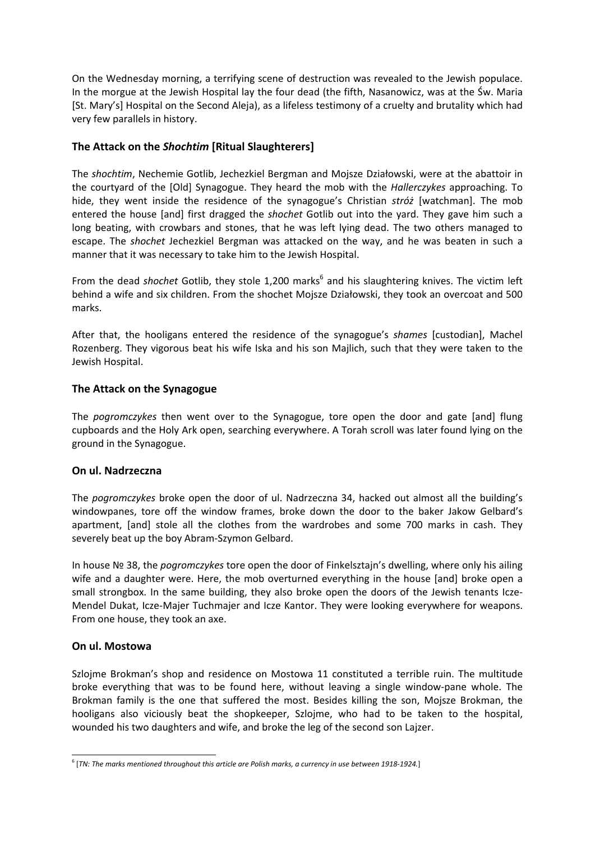On the Wednesday morning, a terrifying scene of destruction was revealed to the Jewish populace. In the morgue at the Jewish Hospital lay the four dead (the fifth, Nasanowicz, was at the Św. Maria [St. Mary's] Hospital on the Second Aleja), as a lifeless testimony of a cruelty and brutality which had very few parallels in history.

#### **The Attack on the** *Shochtim* **[Ritual Slaughterers]**

The *shochtim*, Nechemie Gotlib, Jechezkiel Bergman and Mojsze Działowski, were at the abattoir in the courtyard of the [Old] Synagogue. They heard the mob with the *Hallerczykes* approaching. To hide, they went inside the residence of the synagogue's Christian *stróż* [watchman]. The mob entered the house [and] first dragged the *shochet* Gotlib out into the yard. They gave him such a long beating, with crowbars and stones, that he was left lying dead. The two others managed to escape. The *shochet* Jechezkiel Bergman was attacked on the way, and he was beaten in such a manner that it was necessary to take him to the Jewish Hospital.

From the dead *shochet* Gotlib, they stole 1,200 marks<sup>6</sup> and his slaughtering knives. The victim left behind a wife and six children. From the shochet Mojsze Działowski, they took an overcoat and 500 marks.

After that, the hooligans entered the residence of the synagogue's *shames* [custodian], Machel Rozenberg. They vigorous beat his wife Iska and his son Majlich, such that they were taken to the Jewish Hospital.

#### **The Attack on the Synagogue**

The *pogromczykes* then went over to the Synagogue, tore open the door and gate [and] flung cupboards and the Holy Ark open, searching everywhere. A Torah scroll was later found lying on the ground in the Synagogue.

#### **On ul. Nadrzeczna**

The *pogromczykes* broke open the door of ul. Nadrzeczna 34, hacked out almost all the building's windowpanes, tore off the window frames, broke down the door to the baker Jakow Gelbard's apartment, [and] stole all the clothes from the wardrobes and some 700 marks in cash. They severely beat up the boy Abram‐Szymon Gelbard.

In house № 38, the *pogromczykes* tore open the door of Finkelsztajn's dwelling, where only his ailing wife and a daughter were. Here, the mob overturned everything in the house [and] broke open a small strongbox. In the same building, they also broke open the doors of the Jewish tenants Icze-Mendel Dukat, Icze‐Majer Tuchmajer and Icze Kantor. They were looking everywhere for weapons. From one house, they took an axe.

#### **On ul. Mostowa**

Szlojme Brokman's shop and residence on Mostowa 11 constituted a terrible ruin. The multitude broke everything that was to be found here, without leaving a single window‐pane whole. The Brokman family is the one that suffered the most. Besides killing the son, Mojsze Brokman, the hooligans also viciously beat the shopkeeper, Szlojme, who had to be taken to the hospital, wounded his two daughters and wife, and broke the leg of the second son Lajzer.

 $6$  [TN: The marks mentioned throughout this article are Polish marks, a currency in use between 1918-1924.]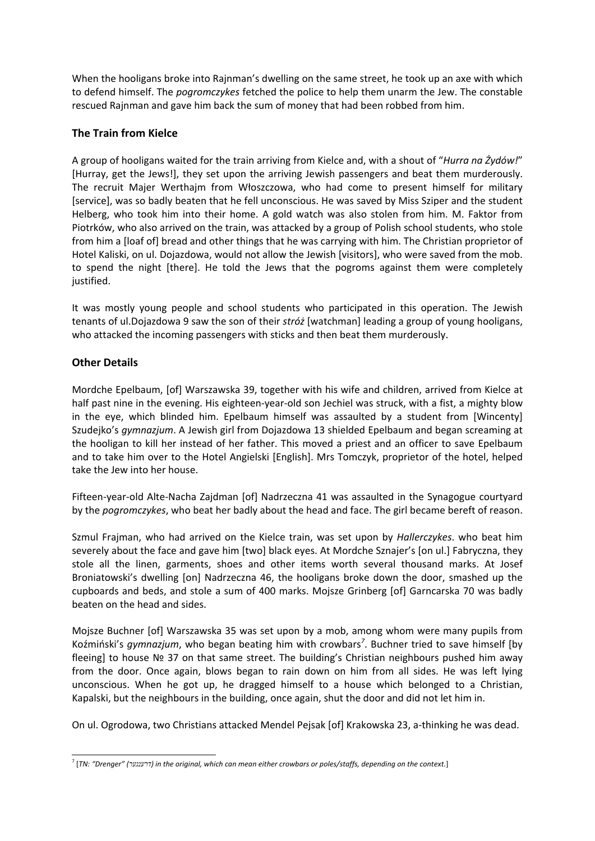When the hooligans broke into Rajnman's dwelling on the same street, he took up an axe with which to defend himself. The *pogromczykes* fetched the police to help them unarm the Jew. The constable rescued Rajnman and gave him back the sum of money that had been robbed from him.

# **The Train from Kielce**

A group of hooligans waited for the train arriving from Kielce and, with a shout of "*Hurra na Żydów!*" [Hurray, get the Jews!], they set upon the arriving Jewish passengers and beat them murderously. The recruit Majer Werthajm from Włoszczowa, who had come to present himself for military [service], was so badly beaten that he fell unconscious. He was saved by Miss Sziper and the student Helberg, who took him into their home. A gold watch was also stolen from him. M. Faktor from Piotrków, who also arrived on the train, was attacked by a group of Polish school students, who stole from him a [loaf of] bread and other things that he was carrying with him. The Christian proprietor of Hotel Kaliski, on ul. Dojazdowa, would not allow the Jewish [visitors], who were saved from the mob. to spend the night [there]. He told the Jews that the pogroms against them were completely justified.

It was mostly young people and school students who participated in this operation. The Jewish tenants of ul.Dojazdowa 9 saw the son of their *stróż* [watchman] leading a group of young hooligans, who attacked the incoming passengers with sticks and then beat them murderously.

# **Other Details**

Mordche Epelbaum, [of] Warszawska 39, together with his wife and children, arrived from Kielce at half past nine in the evening. His eighteen-year-old son Jechiel was struck, with a fist, a mighty blow in the eye, which blinded him. Epelbaum himself was assaulted by a student from [Wincenty] Szudejko's *gymnazjum*. A Jewish girl from Dojazdowa 13 shielded Epelbaum and began screaming at the hooligan to kill her instead of her father. This moved a priest and an officer to save Epelbaum and to take him over to the Hotel Angielski [English]. Mrs Tomczyk, proprietor of the hotel, helped take the Jew into her house.

Fifteen-year-old Alte-Nacha Zajdman [of] Nadrzeczna 41 was assaulted in the Synagogue courtyard by the *pogromczykes*, who beat her badly about the head and face. The girl became bereft of reason.

Szmul Frajman, who had arrived on the Kielce train, was set upon by *Hallerczykes*. who beat him severely about the face and gave him [two] black eyes. At Mordche Sznajer's [on ul.] Fabryczna, they stole all the linen, garments, shoes and other items worth several thousand marks. At Josef Broniatowski's dwelling [on] Nadrzeczna 46, the hooligans broke down the door, smashed up the cupboards and beds, and stole a sum of 400 marks. Mojsze Grinberg [of] Garncarska 70 was badly beaten on the head and sides.

Mojsze Buchner [of] Warszawska 35 was set upon by a mob, among whom were many pupils from Koźmiński's *gymnazjum*, who began beating him with crowbars*<sup>7</sup>* . Buchner tried to save himself [by fleeing] to house № 37 on that same street. The building's Christian neighbours pushed him away from the door. Once again, blows began to rain down on him from all sides. He was left lying unconscious. When he got up, he dragged himself to a house which belonged to a Christian, Kapalski, but the neighbours in the building, once again, shut the door and did not let him in.

On ul. Ogrodowa, two Christians attacked Mendel Pejsak [of] Krakowska 23, a‐thinking he was dead.

<sup>&</sup>lt;sup>7</sup> [TN: "Drenger" (דרענגער) in the original, which can mean either crowbars or poles/staffs, depending on the context.]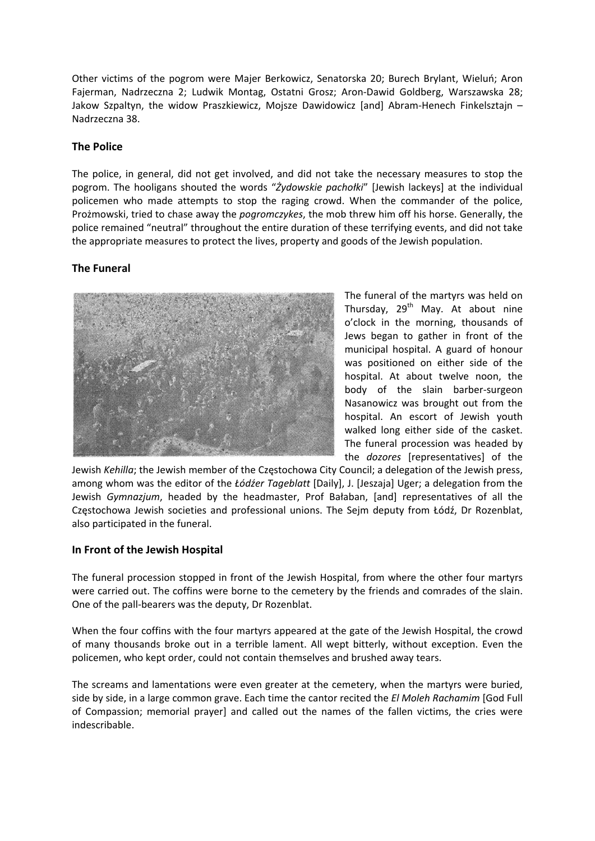Other victims of the pogrom were Majer Berkowicz, Senatorska 20; Burech Brylant, Wieluń; Aron Fajerman, Nadrzeczna 2; Ludwik Montag, Ostatni Grosz; Aron‐Dawid Goldberg, Warszawska 28; Jakow Szpaltyn, the widow Praszkiewicz, Mojsze Dawidowicz [and] Abram‐Henech Finkelsztajn – Nadrzeczna 38.

#### **The Police**

The police, in general, did not get involved, and did not take the necessary measures to stop the pogrom. The hooligans shouted the words "*Żydowskie pachołki*" [Jewish lackeys] at the individual policemen who made attempts to stop the raging crowd. When the commander of the police, Prożmowski, tried to chase away the *pogromczykes*, the mob threw him off his horse. Generally, the police remained "neutral" throughout the entire duration of these terrifying events, and did not take the appropriate measures to protect the lives, property and goods of the Jewish population.

## **The Funeral**



The funeral of the martyrs was held on Thursday,  $29<sup>th</sup>$  May. At about nine o'clock in the morning, thousands of Jews began to gather in front of the municipal hospital. A guard of honour was positioned on either side of the hospital. At about twelve noon, the body of the slain barber‐surgeon Nasanowicz was brought out from the hospital. An escort of Jewish youth walked long either side of the casket. The funeral procession was headed by the *dozores* [representatives] of the

Jewish *Kehilla*; the Jewish member of the Częstochowa City Council; a delegation of the Jewish press, among whom was the editor of the *Łódźer Tageblatt* [Daily], J. [Jeszaja] Uger; a delegation from the Jewish *Gymnazjum*, headed by the headmaster, Prof Bałaban, [and] representatives of all the Częstochowa Jewish societies and professional unions. The Sejm deputy from Łódź, Dr Rozenblat, also participated in the funeral.

#### **In Front of the Jewish Hospital**

The funeral procession stopped in front of the Jewish Hospital, from where the other four martyrs were carried out. The coffins were borne to the cemetery by the friends and comrades of the slain. One of the pall‐bearers was the deputy, Dr Rozenblat.

When the four coffins with the four martyrs appeared at the gate of the Jewish Hospital, the crowd of many thousands broke out in a terrible lament. All wept bitterly, without exception. Even the policemen, who kept order, could not contain themselves and brushed away tears.

The screams and lamentations were even greater at the cemetery, when the martyrs were buried, side by side, in a large common grave. Each time the cantor recited the *El Moleh Rachamim* [God Full of Compassion; memorial prayer] and called out the names of the fallen victims, the cries were indescribable.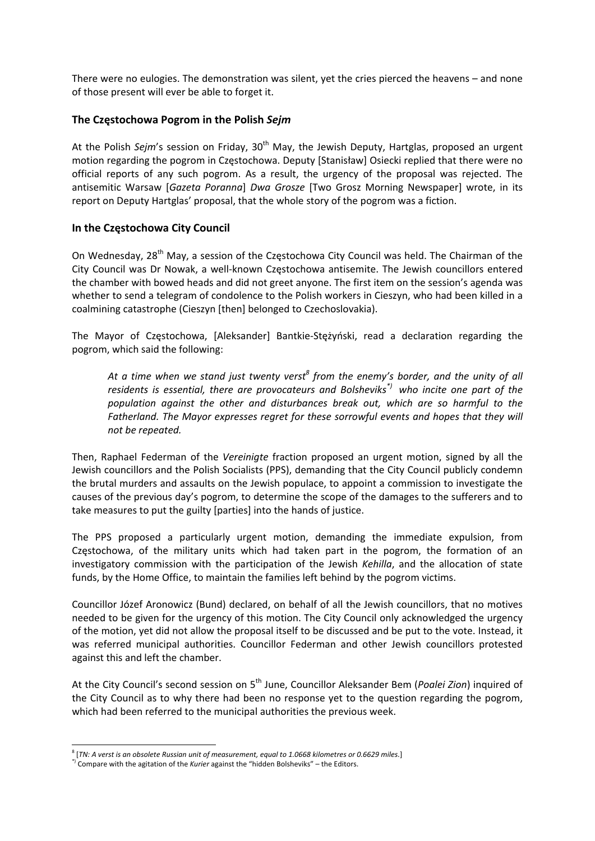There were no eulogies. The demonstration was silent, yet the cries pierced the heavens – and none of those present will ever be able to forget it.

#### **The Częstochowa Pogrom in the Polish** *Sejm*

At the Polish *Sejm's* session on Friday, 30<sup>th</sup> May, the Jewish Deputy, Hartglas, proposed an urgent motion regarding the pogrom in Częstochowa. Deputy [Stanisław] Osiecki replied that there were no official reports of any such pogrom. As a result, the urgency of the proposal was rejected. The antisemitic Warsaw [*Gazeta Poranna*] *Dwa Grosze* [Two Grosz Morning Newspaper] wrote, in its report on Deputy Hartglas' proposal, that the whole story of the pogrom was a fiction.

#### **In the Częstochowa City Council**

On Wednesday, 28<sup>th</sup> May, a session of the Częstochowa City Council was held. The Chairman of the City Council was Dr Nowak, a well‐known Częstochowa antisemite. The Jewish councillors entered the chamber with bowed heads and did not greet anyone. The first item on the session's agenda was whether to send a telegram of condolence to the Polish workers in Cieszyn, who had been killed in a coalmining catastrophe (Cieszyn [then] belonged to Czechoslovakia).

The Mayor of Częstochowa, [Aleksander] Bantkie‐Stężyński, read a declaration regarding the pogrom, which said the following:

*At a time when we stand just twenty verst<sup>8</sup> from the enemy's border, and the unity of all residents is essential, there are provocateurs and Bolsheviks\*) who incite one part of the population against the other and disturbances break out, which are so harmful to the Fatherland. The Mayor expresses regret for these sorrowful events and hopes that they will not be repeated.*

Then, Raphael Federman of the *Vereinigte* fraction proposed an urgent motion, signed by all the Jewish councillors and the Polish Socialists (PPS), demanding that the City Council publicly condemn the brutal murders and assaults on the Jewish populace, to appoint a commission to investigate the causes of the previous day's pogrom, to determine the scope of the damages to the sufferers and to take measures to put the guilty [parties] into the hands of justice.

The PPS proposed a particularly urgent motion, demanding the immediate expulsion, from Częstochowa, of the military units which had taken part in the pogrom, the formation of an investigatory commission with the participation of the Jewish *Kehilla*, and the allocation of state funds, by the Home Office, to maintain the families left behind by the pogrom victims.

Councillor Józef Aronowicz (Bund) declared, on behalf of all the Jewish councillors, that no motives needed to be given for the urgency of this motion. The City Council only acknowledged the urgency of the motion, yet did not allow the proposal itself to be discussed and be put to the vote. Instead, it was referred municipal authorities. Councillor Federman and other Jewish councillors protested against this and left the chamber.

At the City Council's second session on 5th June, Councillor Aleksander Bem (*Poalei Zion*) inquired of the City Council as to why there had been no response yet to the question regarding the pogrom, which had been referred to the municipal authorities the previous week.

 <sup>8</sup> [*TN: <sup>A</sup> verst is an obsolete Russian unit of measurement, equal to 1.0668 kilometres or 0.6629 miles.*]

<sup>\*)</sup> Compare with the agitation of the *Kurier* against the "hidden Bolsheviks" – the Editors.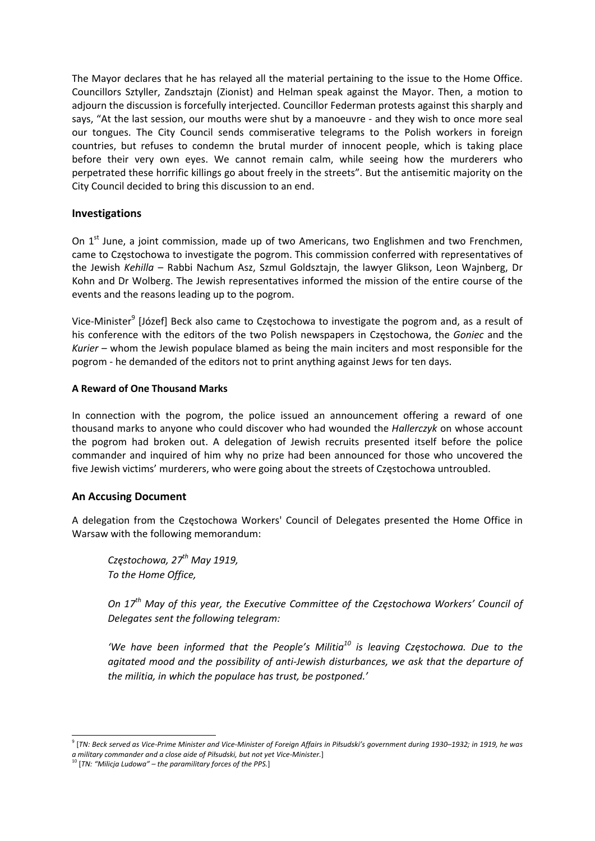The Mayor declares that he has relayed all the material pertaining to the issue to the Home Office. Councillors Sztyller, Zandsztajn (Zionist) and Helman speak against the Mayor. Then, a motion to adjourn the discussion is forcefully interjected. Councillor Federman protests against this sharply and says, "At the last session, our mouths were shut by a manoeuvre - and they wish to once more seal our tongues. The City Council sends commiserative telegrams to the Polish workers in foreign countries, but refuses to condemn the brutal murder of innocent people, which is taking place before their very own eyes. We cannot remain calm, while seeing how the murderers who perpetrated these horrific killings go about freely in the streets". But the antisemitic majority on the City Council decided to bring this discussion to an end.

#### **Investigations**

On 1<sup>st</sup> June, a joint commission, made up of two Americans, two Englishmen and two Frenchmen, came to Częstochowa to investigate the pogrom. This commission conferred with representatives of the Jewish *Kehilla* – Rabbi Nachum Asz, Szmul Goldsztajn, the lawyer Glikson, Leon Wajnberg, Dr Kohn and Dr Wolberg. The Jewish representatives informed the mission of the entire course of the events and the reasons leading up to the pogrom.

Vice-Minister<sup>9</sup> [Józef] Beck also came to Częstochowa to investigate the pogrom and, as a result of his conference with the editors of the two Polish newspapers in Częstochowa, the *Goniec* and the *Kurier* – whom the Jewish populace blamed as being the main inciters and most responsible for the pogrom ‐ he demanded of the editors not to print anything against Jews for ten days.

#### **A Reward of One Thousand Marks**

In connection with the pogrom, the police issued an announcement offering a reward of one thousand marks to anyone who could discover who had wounded the *Hallerczyk* on whose account the pogrom had broken out. A delegation of Jewish recruits presented itself before the police commander and inquired of him why no prize had been announced for those who uncovered the five Jewish victims' murderers, who were going about the streets of Częstochowa untroubled.

## **An Accusing Document**

A delegation from the Częstochowa Workers' Council of Delegates presented the Home Office in Warsaw with the following memorandum:

*Częstochowa, 27th May 1919, To the Home Office,*

*On 17th May of this year, the Executive Committee of the Częstochowa Workers' Council of Delegates sent the following telegram:*

*'We have been informed that the People's Militia<sup>10</sup> is leaving Częstochowa. Due to the agitated mood and the possibility of anti‐Jewish disturbances, we ask that the departure of the militia, in which the populace has trust, be postponed.'*

<sup>&</sup>lt;sup>9</sup> [TN: Beck served as Vice-Prime Minister and Vice-Minister of Foreign Affairs in Piłsudski's government during 1930–1932; in 1919, he was *a military commander and a close aide of Piłsudski, but not yet Vice‐Minister.*]

<sup>10</sup> [*TN: "Milicja Ludowa" – the paramilitary forces of the PPS.*]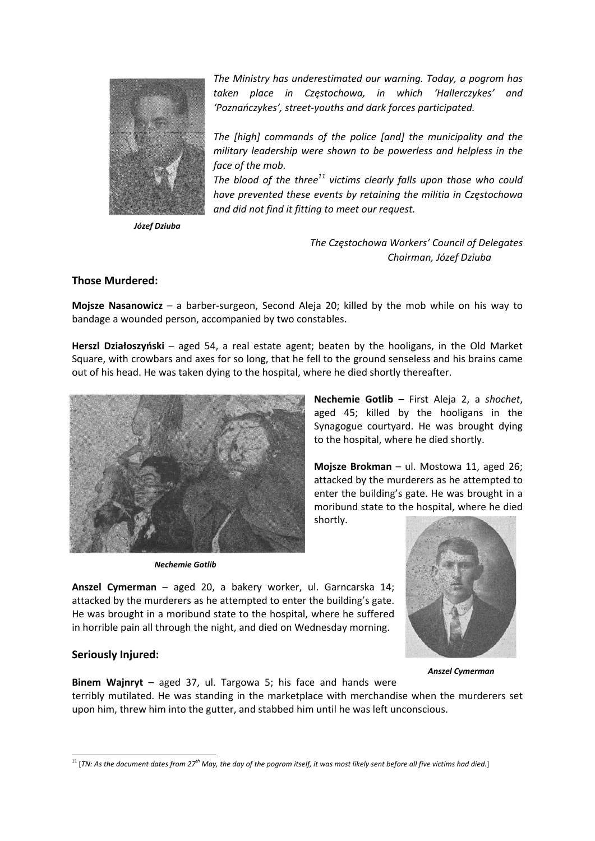

*The Ministry has underestimated our warning. Today, a pogrom has taken place in Częstochowa, in which 'Hallerczykes' and 'Poznańczykes', street‐youths and dark forces participated.* 

*The [high] commands of the police [and] the municipality and the military leadership were shown to be powerless and helpless in the face of the mob.*

*The blood of the three<sup>11</sup> victims clearly falls upon those who could have prevented these events by retaining the militia in Częstochowa and did not find it fitting to meet our request.*

*Józef Dziuba*

*The Częstochowa Workers' Council of Delegates Chairman, Józef Dziuba* 

#### **Those Murdered:**

**Mojsze Nasanowicz** – a barber‐surgeon, Second Aleja 20; killed by the mob while on his way to bandage a wounded person, accompanied by two constables.

**Herszl Działoszyński** – aged 54, a real estate agent; beaten by the hooligans, in the Old Market Square, with crowbars and axes for so long, that he fell to the ground senseless and his brains came out of his head. He was taken dying to the hospital, where he died shortly thereafter.



*Nechemie Gotlib* 

**Nechemie Gotlib** – First Aleja 2, a *shochet*, aged 45; killed by the hooligans in the Synagogue courtyard. He was brought dying to the hospital, where he died shortly.

**Mojsze Brokman** – ul. Mostowa 11, aged 26; attacked by the murderers as he attempted to enter the building's gate. He was brought in a moribund state to the hospital, where he died shortly.

**Anszel Cymerman** – aged 20, a bakery worker, ul. Garncarska 14; attacked by the murderers as he attempted to enter the building's gate. He was brought in a moribund state to the hospital, where he suffered in horrible pain all through the night, and died on Wednesday morning.

## **Seriously Injured:**

*Anszel Cymerman*

**Binem Wajnryt** – aged 37, ul. Targowa 5; his face and hands were terribly mutilated. He was standing in the marketplace with merchandise when the murderers set upon him, threw him into the gutter, and stabbed him until he was left unconscious.

 $11$  [TN: As the document dates from 27<sup>th</sup> May, the day of the pogrom itself, it was most likely sent before all five victims had died.]